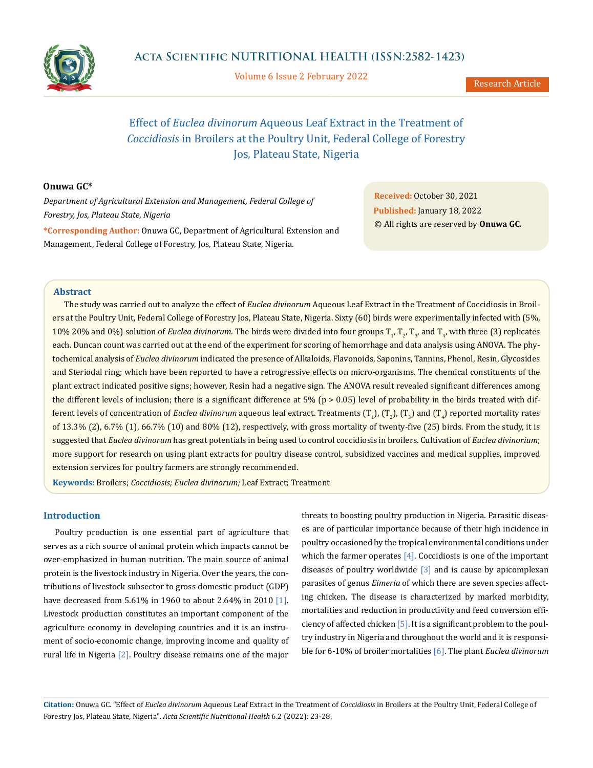

Volume 6 Issue 2 February 2022

# Effect of *Euclea divinorum* Aqueous Leaf Extract in the Treatment of *Coccidiosis* in Broilers at the Poultry Unit, Federal College of Forestry Jos, Plateau State, Nigeria

## **Onuwa GC\***

*Department of Agricultural Extension and Management, Federal College of Forestry, Jos, Plateau State, Nigeria* **\*Corresponding Author:** Onuwa GC, Department of Agricultural Extension and Management, Federal College of Forestry, Jos, Plateau State, Nigeria.

**Received:** October 30, 2021 **Published:** January 18, 2022 © All rights are reserved by **Onuwa GC***.*

## **Abstract**

The study was carried out to analyze the effect of *Euclea divinorum* Aqueous Leaf Extract in the Treatment of Coccidiosis in Broilers at the Poultry Unit, Federal College of Forestry Jos, Plateau State, Nigeria. Sixty (60) birds were experimentally infected with (5%, 10% 20% and 0%) solution of *Euclea divinorum*. The birds were divided into four groups  $T_1$ ,  $T_2$ ,  $T_3$ , and  $T_4$ , with three (3) replicates each. Duncan count was carried out at the end of the experiment for scoring of hemorrhage and data analysis using ANOVA. The phytochemical analysis of *Euclea divinorum* indicated the presence of Alkaloids, Flavonoids, Saponins, Tannins, Phenol, Resin, Glycosides and Steriodal ring; which have been reported to have a retrogressive effects on micro-organisms. The chemical constituents of the plant extract indicated positive signs; however, Resin had a negative sign. The ANOVA result revealed significant differences among the different levels of inclusion; there is a significant difference at  $5\%$  (p > 0.05) level of probability in the birds treated with different levels of concentration of *Euclea divinorum* aqueous leaf extract. Treatments (T<sub>1</sub>), (T<sub>2</sub>), (T<sub>3</sub>) and (T<sub>4</sub>) reported mortality rates of 13.3% (2), 6.7% (1), 66.7% (10) and 80% (12), respectively, with gross mortality of twenty-five (25) birds. From the study, it is suggested that *Euclea divinorum* has great potentials in being used to control coccidiosis in broilers. Cultivation of *Euclea divinorium*; more support for research on using plant extracts for poultry disease control, subsidized vaccines and medical supplies, improved extension services for poultry farmers are strongly recommended.

**Keywords:** Broilers; *Coccidiosis; Euclea divinorum;* Leaf Extract; Treatment

## **Introduction**

Poultry production is one essential part of agriculture that serves as a rich source of animal protein which impacts cannot be over-emphasized in human nutrition. The main source of animal protein is the livestock industry in Nigeria. Over the years, the contributions of livestock subsector to gross domestic product (GDP) have decreased from 5.61% in 1960 to about 2.64% in 2010 [1]. Livestock production constitutes an important component of the agriculture economy in developing countries and it is an instrument of socio-economic change, improving income and quality of rural life in Nigeria [2]. Poultry disease remains one of the major

threats to boosting poultry production in Nigeria. Parasitic diseases are of particular importance because of their high incidence in poultry occasioned by the tropical environmental conditions under which the farmer operates  $[4]$ . Coccidiosis is one of the important diseases of poultry worldwide  $\lceil 3 \rceil$  and is cause by apicomplexan parasites of genus *Eimeria* of which there are seven species affecting chicken. The disease is characterized by marked morbidity, mortalities and reduction in productivity and feed conversion efficiency of affected chicken [5]. It is a significant problem to the poultry industry in Nigeria and throughout the world and it is responsible for 6-10% of broiler mortalities [6]. The plant *Euclea divinorum*

**Citation:** Onuwa GC. "Effect of *Euclea divinorum* Aqueous Leaf Extract in the Treatment of *Coccidiosis* in Broilers at the Poultry Unit, Federal College of Forestry Jos, Plateau State, Nigeria". *Acta Scientific Nutritional Health* 6.2 (2022): 23-28.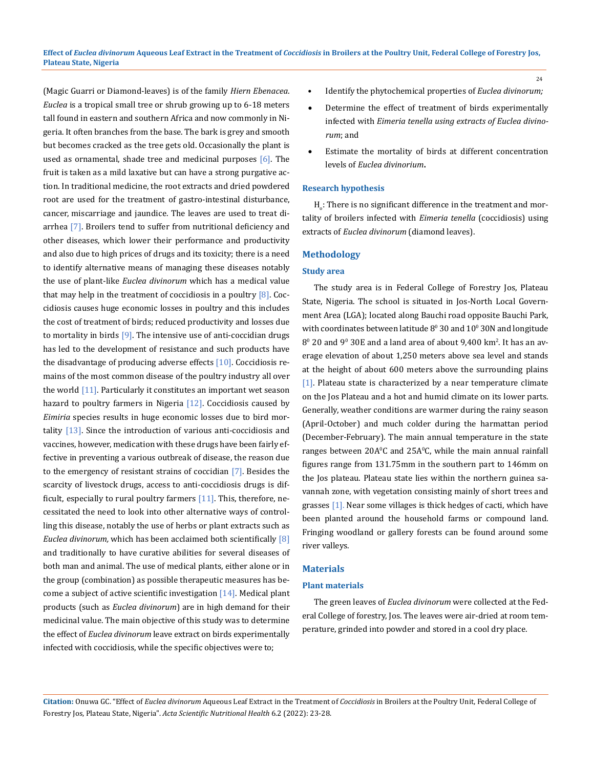(Magic Guarri or Diamond-leaves) is of the family *Hiern Ebenacea*. *Euclea* is a tropical small tree or shrub growing up to 6-18 meters tall found in eastern and southern Africa and now commonly in Nigeria. It often branches from the base. The bark is grey and smooth but becomes cracked as the tree gets old. Occasionally the plant is used as ornamental, shade tree and medicinal purposes  $[6]$ . The fruit is taken as a mild laxative but can have a strong purgative action. In traditional medicine, the root extracts and dried powdered root are used for the treatment of gastro-intestinal disturbance, cancer, miscarriage and jaundice. The leaves are used to treat diarrhea [7]. Broilers tend to suffer from nutritional deficiency and other diseases, which lower their performance and productivity and also due to high prices of drugs and its toxicity; there is a need to identify alternative means of managing these diseases notably the use of plant-like *Euclea divinorum* which has a medical value that may help in the treatment of coccidiosis in a poultry  $[8]$ . Coccidiosis causes huge economic losses in poultry and this includes the cost of treatment of birds; reduced productivity and losses due to mortality in birds  $[9]$ . The intensive use of anti-coccidian drugs has led to the development of resistance and such products have the disadvantage of producing adverse effects [10]. Coccidiosis remains of the most common disease of the poultry industry all over the world [11]. Particularly it constitutes an important wet season hazard to poultry farmers in Nigeria [12]. Coccidiosis caused by *Eimiria* species results in huge economic losses due to bird mortality  $[13]$ . Since the introduction of various anti-coccidiosis and vaccines, however, medication with these drugs have been fairly effective in preventing a various outbreak of disease, the reason due to the emergency of resistant strains of coccidian [7]. Besides the scarcity of livestock drugs, access to anti-coccidiosis drugs is difficult, especially to rural poultry farmers  $[11]$ . This, therefore, necessitated the need to look into other alternative ways of controlling this disease, notably the use of herbs or plant extracts such as *Euclea divinorum,* which has been acclaimed both scientifically [8] and traditionally to have curative abilities for several diseases of both man and animal. The use of medical plants, either alone or in the group (combination) as possible therapeutic measures has become a subject of active scientific investigation  $[14]$ . Medical plant products (such as *Euclea divinorum*) are in high demand for their medicinal value. The main objective of this study was to determine the effect of *Euclea divinorum* leave extract on birds experimentally infected with coccidiosis, while the specific objectives were to;

• Identify the phytochemical properties of *Euclea divinorum;*

24

- Determine the effect of treatment of birds experimentally infected with *Eimeria tenella using extracts of Euclea divinorum*; and
- Estimate the mortality of birds at different concentration levels of *Euclea divinorium***.**

#### **Research hypothesis**

 ${\rm H}_\circ$ : There is no significant difference in the treatment and mortality of broilers infected with *Eimeria tenella* (coccidiosis) using extracts of *Euclea divinorum* (diamond leaves).

## **Methodology**

## **Study area**

The study area is in Federal College of Forestry Jos, Plateau State, Nigeria. The school is situated in Jos-North Local Government Area (LGA); located along Bauchi road opposite Bauchi Park, with coordinates between latitude  $8^{\rm o}$  30 and  $10^{\rm o}$  30N and longitude  $8^{\circ}$  20 and  $9^{\circ}$  30E and a land area of about 9,400 km<sup>2</sup>. It has an average elevation of about 1,250 meters above sea level and stands at the height of about 600 meters above the surrounding plains [1]. Plateau state is characterized by a near temperature climate on the Jos Plateau and a hot and humid climate on its lower parts. Generally, weather conditions are warmer during the rainy season (April-October) and much colder during the harmattan period (December-February). The main annual temperature in the state ranges between 20A°C and 25A°C, while the main annual rainfall figures range from 131.75mm in the southern part to 146mm on the Jos plateau. Plateau state lies within the northern guinea savannah zone, with vegetation consisting mainly of short trees and grasses [1]. Near some villages is thick hedges of cacti, which have been planted around the household farms or compound land. Fringing woodland or gallery forests can be found around some river valleys.

## **Materials**

## **Plant materials**

The green leaves of *Euclea divinorum* were collected at the Federal College of forestry, Jos. The leaves were air-dried at room temperature, grinded into powder and stored in a cool dry place.

**Citation:** Onuwa GC. "Effect of *Euclea divinorum* Aqueous Leaf Extract in the Treatment of *Coccidiosis* in Broilers at the Poultry Unit, Federal College of Forestry Jos, Plateau State, Nigeria". *Acta Scientific Nutritional Health* 6.2 (2022): 23-28.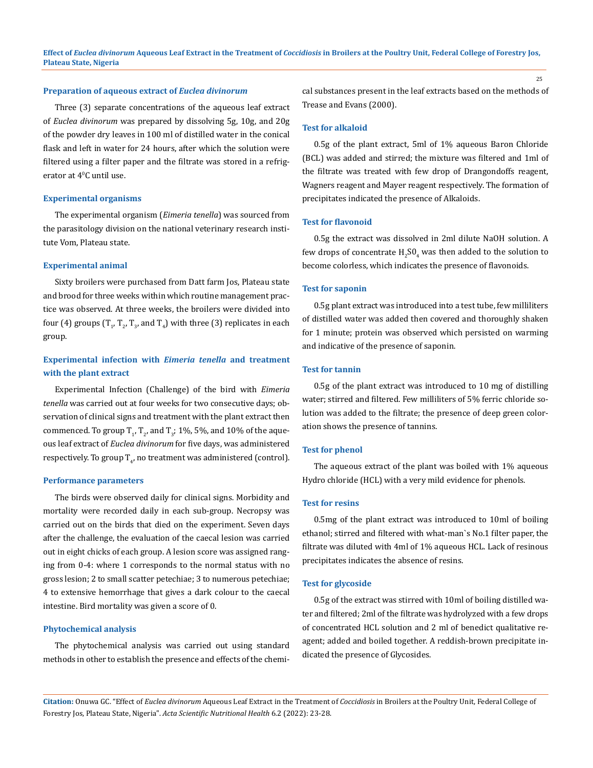**Effect of** *Euclea divinorum* **Aqueous Leaf Extract in the Treatment of** *Coccidiosis* **in Broilers at the Poultry Unit, Federal College of Forestry Jos, Plateau State, Nigeria**

#### **Preparation of aqueous extract of** *Euclea divinorum*

Three (3) separate concentrations of the aqueous leaf extract of *Euclea divinorum* was prepared by dissolving 5g, 10g, and 20g of the powder dry leaves in 100 ml of distilled water in the conical flask and left in water for 24 hours, after which the solution were filtered using a filter paper and the filtrate was stored in a refrigerator at 40 C until use.

#### **Experimental organisms**

The experimental organism (*Eimeria tenella*) was sourced from the parasitology division on the national veterinary research institute Vom, Plateau state.

#### **Experimental animal**

Sixty broilers were purchased from Datt farm Jos, Plateau state and brood for three weeks within which routine management practice was observed. At three weeks, the broilers were divided into four (4) groups  $(T_1, T_2, T_3,$  and  $T_4$ ) with three (3) replicates in each group.

## **Experimental infection with** *Eimeria tenella* **and treatment with the plant extract**

Experimental Infection (Challenge) of the bird with *Eimeria tenella* was carried out at four weeks for two consecutive days; observation of clinical signs and treatment with the plant extract then commenced. To group  $T_{1'}T_{2'}$  and  $T_{3}$ ; 1%, 5%, and 10% of the aqueous leaf extract of *Euclea divinorum* for five days, was administered respectively. To group  $\mathrm{T}_{4^{\prime}}$  no treatment was administered (control).

#### **Performance parameters**

The birds were observed daily for clinical signs. Morbidity and mortality were recorded daily in each sub-group. Necropsy was carried out on the birds that died on the experiment. Seven days after the challenge, the evaluation of the caecal lesion was carried out in eight chicks of each group. A lesion score was assigned ranging from 0-4: where 1 corresponds to the normal status with no gross lesion; 2 to small scatter petechiae; 3 to numerous petechiae; 4 to extensive hemorrhage that gives a dark colour to the caecal intestine. Bird mortality was given a score of 0.

#### **Phytochemical analysis**

The phytochemical analysis was carried out using standard methods in other to establish the presence and effects of the chemical substances present in the leaf extracts based on the methods of Trease and Evans (2000).

## **Test for alkaloid**

0.5g of the plant extract, 5ml of 1% aqueous Baron Chloride (BCL) was added and stirred; the mixture was filtered and 1ml of the filtrate was treated with few drop of Drangondoffs reagent, Wagners reagent and Mayer reagent respectively. The formation of precipitates indicated the presence of Alkaloids.

#### **Test for flavonoid**

0.5g the extract was dissolved in 2ml dilute NaOH solution. A few drops of concentrate  $\rm H_2SO_4$  was then added to the solution to become colorless, which indicates the presence of flavonoids.

#### **Test for saponin**

0.5g plant extract was introduced into a test tube, few milliliters of distilled water was added then covered and thoroughly shaken for 1 minute; protein was observed which persisted on warming and indicative of the presence of saponin.

## **Test for tannin**

0.5g of the plant extract was introduced to 10 mg of distilling water; stirred and filtered. Few milliliters of 5% ferric chloride solution was added to the filtrate; the presence of deep green coloration shows the presence of tannins.

#### **Test for phenol**

The aqueous extract of the plant was boiled with 1% aqueous Hydro chloride (HCL) with a very mild evidence for phenols.

## **Test for resins**

0.5mg of the plant extract was introduced to 10ml of boiling ethanol; stirred and filtered with what-man`s No.1 filter paper, the filtrate was diluted with 4ml of 1% aqueous HCL. Lack of resinous precipitates indicates the absence of resins.

#### **Test for glycoside**

0.5g of the extract was stirred with 10ml of boiling distilled water and filtered; 2ml of the filtrate was hydrolyzed with a few drops of concentrated HCL solution and 2 ml of benedict qualitative reagent; added and boiled together. A reddish-brown precipitate indicated the presence of Glycosides.

**Citation:** Onuwa GC. "Effect of *Euclea divinorum* Aqueous Leaf Extract in the Treatment of *Coccidiosis* in Broilers at the Poultry Unit, Federal College of Forestry Jos, Plateau State, Nigeria". *Acta Scientific Nutritional Health* 6.2 (2022): 23-28.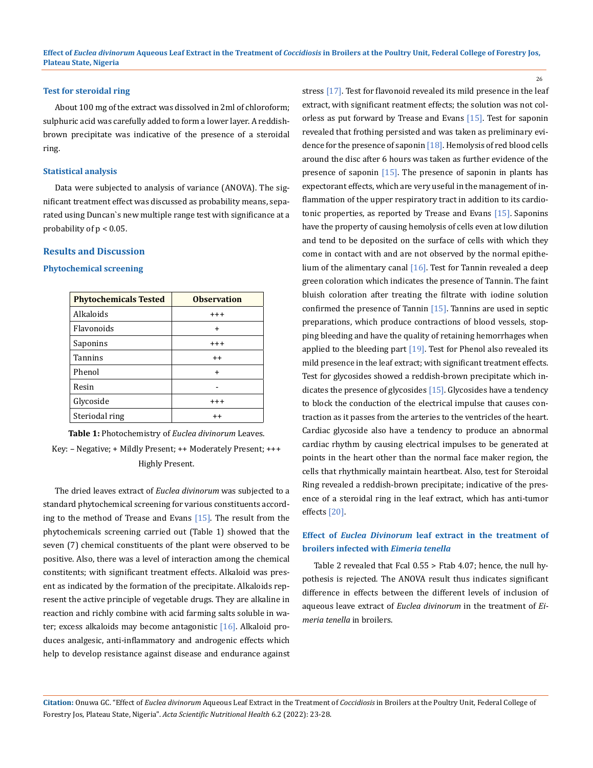#### **Test for steroidal ring**

About 100 mg of the extract was dissolved in 2ml of chloroform; sulphuric acid was carefully added to form a lower layer. A reddishbrown precipitate was indicative of the presence of a steroidal ring.

## **Statistical analysis**

Data were subjected to analysis of variance (ANOVA). The significant treatment effect was discussed as probability means, separated using Duncan`s new multiple range test with significance at a probability of  $p < 0.05$ .

## **Results and Discussion**

#### **Phytochemical screening**

| <b>Phytochemicals Tested</b> | <b>Observation</b> |
|------------------------------|--------------------|
| Alkaloids                    | $^{+++}$           |
| Flavonoids                   | $\ddot{}$          |
| Saponins                     | $^{\mathrm{+++}}$  |
| <b>Tannins</b>               | $^{\mathrm{+}}$    |
| Phenol                       | $\ddot{}$          |
| Resin                        |                    |
| Glycoside                    | $^{\mathrm{+++}}$  |
| Steriodal ring               | $^{++}$            |

**Table 1:** Photochemistry of *Euclea divinorum* Leaves.

Key: – Negative; + Mildly Present; ++ Moderately Present; +++ Highly Present.

The dried leaves extract of *Euclea divinorum* was subjected to a standard phytochemical screening for various constituents according to the method of Trease and Evans [15]. The result from the phytochemicals screening carried out (Table 1) showed that the seven (7) chemical constituents of the plant were observed to be positive. Also, there was a level of interaction among the chemical constitents; with significant treatment effects. Alkaloid was present as indicated by the formation of the precipitate. Alkaloids represent the active principle of vegetable drugs. They are alkaline in reaction and richly combine with acid farming salts soluble in water; excess alkaloids may become antagonistic [16]. Alkaloid produces analgesic, anti-inflammatory and androgenic effects which help to develop resistance against disease and endurance against stress [17]. Test for flavonoid revealed its mild presence in the leaf extract, with significant reatment effects; the solution was not colorless as put forward by Trease and Evans [15]. Test for saponin revealed that frothing persisted and was taken as preliminary evidence for the presence of saponin [18]. Hemolysis of red blood cells around the disc after 6 hours was taken as further evidence of the presence of saponin  $[15]$ . The presence of saponin in plants has expectorant effects, which are very useful in the management of inflammation of the upper respiratory tract in addition to its cardiotonic properties, as reported by Trease and Evans [15]. Saponins have the property of causing hemolysis of cells even at low dilution and tend to be deposited on the surface of cells with which they come in contact with and are not observed by the normal epithelium of the alimentary canal [16]. Test for Tannin revealed a deep green coloration which indicates the presence of Tannin. The faint bluish coloration after treating the filtrate with iodine solution confirmed the presence of Tannin [15]. Tannins are used in septic preparations, which produce contractions of blood vessels, stopping bleeding and have the quality of retaining hemorrhages when applied to the bleeding part  $[19]$ . Test for Phenol also revealed its mild presence in the leaf extract; with significant treatment effects. Test for glycosides showed a reddish-brown precipitate which indicates the presence of glycosides [15]. Glycosides have a tendency to block the conduction of the electrical impulse that causes contraction as it passes from the arteries to the ventricles of the heart. Cardiac glycoside also have a tendency to produce an abnormal cardiac rhythm by causing electrical impulses to be generated at points in the heart other than the normal face maker region, the cells that rhythmically maintain heartbeat. Also, test for Steroidal Ring revealed a reddish-brown precipitate; indicative of the presence of a steroidal ring in the leaf extract, which has anti-tumor effects [20].

## **Effect of** *Euclea Divinorum* **leaf extract in the treatment of broilers infected with** *Eimeria tenella*

Table 2 revealed that Fcal 0.55 > Ftab 4.07; hence, the null hypothesis is rejected. The ANOVA result thus indicates significant difference in effects between the different levels of inclusion of aqueous leave extract of *Euclea divinorum* in the treatment of *Eimeria tenella* in broilers.

**Citation:** Onuwa GC. "Effect of *Euclea divinorum* Aqueous Leaf Extract in the Treatment of *Coccidiosis* in Broilers at the Poultry Unit, Federal College of Forestry Jos, Plateau State, Nigeria". *Acta Scientific Nutritional Health* 6.2 (2022): 23-28.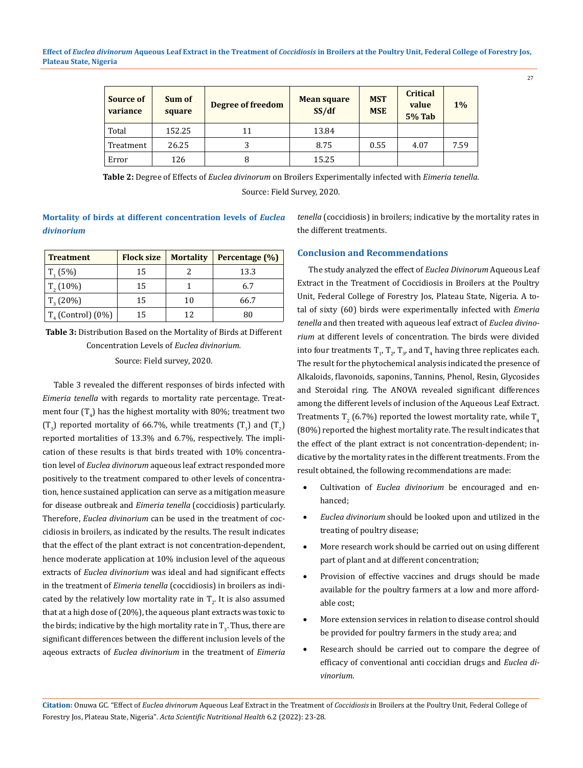**Effect of** *Euclea divinorum* **Aqueous Leaf Extract in the Treatment of** *Coccidiosis* **in Broilers at the Poultry Unit, Federal College of Forestry Jos, Plateau State, Nigeria**

| <b>Source of</b><br>variance | Sum of<br>square | Degree of freedom | <b>Mean square</b><br>SS/df | <b>MST</b><br><b>MSE</b> | <b>Critical</b><br>value<br><b>5% Tab</b> | $1\%$ |
|------------------------------|------------------|-------------------|-----------------------------|--------------------------|-------------------------------------------|-------|
| Total                        | 152.25           | 11                | 13.84                       |                          |                                           |       |
| Treatment                    | 26.25            | 3                 | 8.75                        | 0.55                     | 4.07                                      | 7.59  |
| Error                        | 126              | 8                 | 15.25                       |                          |                                           |       |

**Table 2:** Degree of Effects of *Euclea divinorum* on Broilers Experimentally infected with *Eimeria tenella.* Source: Field Survey, 2020.

**Mortality of birds at different concentration levels of** *Euclea divinorium*

| <b>Treatment</b>                          | <b>Flock size</b> | <b>Mortality</b> | Percentage (%) |
|-------------------------------------------|-------------------|------------------|----------------|
| $T_{1}(5%)$                               | 15                |                  | 13.3           |
| $T2$ (10%)                                | 15                |                  | 6.7            |
| $T_{2}(20\%)$                             | 15                | 10               | 66.7           |
| $T_{\scriptscriptstyle A}$ (Control) (0%) | 15                | 12               | 80             |

**Table 3:** Distribution Based on the Mortality of Birds at Different Concentration Levels of *Euclea divinorium.*

## Source: Field survey, 2020.

Table 3 revealed the different responses of birds infected with *Eimeria tenella* with regards to mortality rate percentage. Treatment four  $\left(T_{4}\right)$  has the highest mortality with 80%; treatment two  $(T_3)$  reported mortality of 66.7%, while treatments  $(T_1)$  and  $(T_2)$ reported mortalities of 13.3% and 6.7%, respectively. The implication of these results is that birds treated with 10% concentration level of *Euclea divinorum* aqueous leaf extract responded more positively to the treatment compared to other levels of concentration, hence sustained application can serve as a mitigation measure for disease outbreak and *Eimeria tenella* (coccidiosis) particularly. Therefore, *Euclea divinorium* can be used in the treatment of coccidiosis in broilers, as indicated by the results. The result indicates that the effect of the plant extract is not concentration-dependent, hence moderate application at 10% inclusion level of the aqueous extracts of *Euclea divinorium* was ideal and had significant effects in the treatment of *Eimeria tenella* (coccidiosis) in broilers as indicated by the relatively low mortality rate in  $T_2$ . It is also assumed that at a high dose of (20%), the aqueous plant extracts was toxic to the birds; indicative by the high mortality rate in  $\mathrm{T}_3.$  Thus, there are significant differences between the different inclusion levels of the aqeous extracts of *Euclea divinorium* in the treatment of *Eimeria* 

*tenella* (coccidiosis) in broilers; indicative by the mortality rates in the different treatments.

## **Conclusion and Recommendations**

The study analyzed the effect of *Euclea Divinorum* Aqueous Leaf Extract in the Treatment of Coccidiosis in Broilers at the Poultry Unit, Federal College of Forestry Jos, Plateau State, Nigeria. A total of sixty (60) birds were experimentally infected with *Emeria tenella* and then treated with aqueous leaf extract of *Euclea divinorium* at different levels of concentration. The birds were divided into four treatments  $T_{1'}T_{2'}T_{3'}$  and  $T_4$  having three replicates each. The result for the phytochemical analysis indicated the presence of Alkaloids, flavonoids, saponins, Tannins, Phenol, Resin, Glycosides and Steroidal ring. The ANOVA revealed significant differences among the different levels of inclusion of the Aqueous Leaf Extract. Treatments T<sub>2</sub> (6.7%) reported the lowest mortality rate, while T<sub>4</sub> (80%) reported the highest mortality rate. The result indicates that the effect of the plant extract is not concentration-dependent; indicative by the mortality rates in the different treatments. From the result obtained, the following recommendations are made:

- • Cultivation of *Euclea divinorium* be encouraged and enhanced;
- • *Euclea divinorium* should be looked upon and utilized in the treating of poultry disease;
- More research work should be carried out on using different part of plant and at different concentration;
- Provision of effective vaccines and drugs should be made available for the poultry farmers at a low and more affordable cost;
- More extension services in relation to disease control should be provided for poultry farmers in the study area; and
- Research should be carried out to compare the degree of efficacy of conventional anti coccidian drugs and *Euclea divinorium*.

**Citation:** Onuwa GC. "Effect of *Euclea divinorum* Aqueous Leaf Extract in the Treatment of *Coccidiosis* in Broilers at the Poultry Unit, Federal College of Forestry Jos, Plateau State, Nigeria". *Acta Scientific Nutritional Health* 6.2 (2022): 23-28.